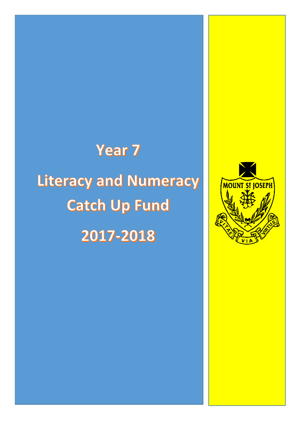## **Year 7**

Literacy and Numeracy **Catch Up Fund** 2017-2018

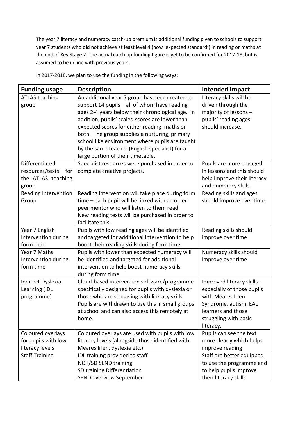The year 7 literacy and numeracy catch-up premium is additional funding given to schools to support year 7 students who did not achieve at least level 4 (now 'expected standard') in reading or maths at the end of Key Stage 2. The actual catch up funding figure is yet to be confirmed for 2017-18, but is assumed to be in line with previous years.

| <b>Funding usage</b>                                                    | <b>Description</b>                                                                                                                                                                                                                                                                                                                                                                                                                              | Intended impact                                                                                                                                                    |
|-------------------------------------------------------------------------|-------------------------------------------------------------------------------------------------------------------------------------------------------------------------------------------------------------------------------------------------------------------------------------------------------------------------------------------------------------------------------------------------------------------------------------------------|--------------------------------------------------------------------------------------------------------------------------------------------------------------------|
| <b>ATLAS teaching</b><br>group                                          | An additional year 7 group has been created to<br>support 14 pupils - all of whom have reading<br>ages 2-4 years below their chronological age. In<br>addition, pupils' scaled scores are lower than<br>expected scores for either reading, maths or<br>both. The group supplies a nurturing, primary<br>school like environment where pupils are taught<br>by the same teacher (English specialist) for a<br>large portion of their timetable. | Literacy skills will be<br>driven through the<br>majority of lessons -<br>pupils' reading ages<br>should increase.                                                 |
| Differentiated<br>resources/texts<br>for<br>the ATLAS teaching<br>group | Specialist resources were purchased in order to<br>complete creative projects.                                                                                                                                                                                                                                                                                                                                                                  | Pupils are more engaged<br>in lessons and this should<br>help improve their literacy<br>and numeracy skills.                                                       |
| Reading Intervention<br>Group                                           | Reading intervention will take place during form<br>time - each pupil will be linked with an older<br>peer mentor who will listen to them read.<br>New reading texts will be purchased in order to<br>facilitate this.                                                                                                                                                                                                                          | Reading skills and ages<br>should improve over time.                                                                                                               |
| Year 7 English<br>Intervention during<br>form time                      | Pupils with low reading ages will be identified<br>and targeted for additional intervention to help<br>boost their reading skills during form time                                                                                                                                                                                                                                                                                              | Reading skills should<br>improve over time                                                                                                                         |
| Year 7 Maths<br>Intervention during<br>form time                        | Pupils with lower than expected numeracy will<br>be identified and targeted for additional<br>intervention to help boost numeracy skills<br>during form time                                                                                                                                                                                                                                                                                    | Numeracy skills should<br>improve over time                                                                                                                        |
| Indirect Dyslexia<br>Learning (IDL<br>programme)                        | Cloud-based intervention software/programme<br>specifically designed for pupils with dyslexia or<br>those who are struggling with literacy skills.<br>Pupils are withdrawn to use this in small groups<br>at school and can also access this remotely at<br>home.                                                                                                                                                                               | Improved literacy skills -<br>especially of those pupils<br>with Meares Irlen<br>Syndrome, autism, EAL<br>learners and those<br>struggling with basic<br>literacy. |
| Coloured overlays<br>for pupils with low<br>literacy levels             | Coloured overlays are used with pupils with low<br>literacy levels (alongside those identified with<br>Meares Irlen, dyslexia etc.)                                                                                                                                                                                                                                                                                                             | Pupils can see the text<br>more clearly which helps<br>improve reading                                                                                             |
| <b>Staff Training</b>                                                   | IDL training provided to staff<br>NQT/SD SEND training<br>SD training Differentiation<br><b>SEND overview September</b>                                                                                                                                                                                                                                                                                                                         | Staff are better equipped<br>to use the programme and<br>to help pupils improve<br>their literacy skills.                                                          |

In 2017-2018, we plan to use the funding in the following ways: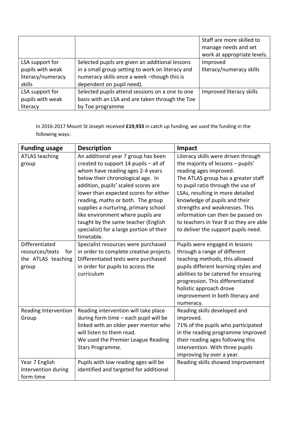|                   |                                                  | Staff are more skilled to   |
|-------------------|--------------------------------------------------|-----------------------------|
|                   |                                                  | manage needs and set        |
|                   |                                                  | work at appropriate levels. |
| LSA support for   | Selected pupils are given an additional lessons  | Improved                    |
| pupils with weak  | in a small group setting to work on literacy and | literacy/numeracy skills    |
| literacy/numeracy | numeracy skills once a week -though this is      |                             |
| skills            | dependent on pupil need).                        |                             |
| LSA support for   | Selected pupils attend sessions on a one to one  | Improved literacy skills    |
| pupils with weak  | basis with an LSA and are taken through the Toe  |                             |
| literacy          | by Toe programme                                 |                             |

In 2016-2017 Mount St Joseph received **£19,933** in catch up funding, we used the funding in the following ways:

| <b>Funding usage</b>   | <b>Description</b>                       | Impact                                 |
|------------------------|------------------------------------------|----------------------------------------|
| <b>ATLAS teaching</b>  | An additional year 7 group has been      | Literacy skills were driven through    |
| group                  | created to support 14 pupils - all of    | the majority of lessons - pupils'      |
|                        | whom have reading ages 2-4 years         | reading ages improved.                 |
|                        | below their chronological age. In        | The ATLAS group has a greater staff    |
|                        | addition, pupils' scaled scores are      | to pupil ratio through the use of      |
|                        | lower than expected scores for either    | LSAs, resulting in more detailed       |
|                        | reading, maths or both. The group        | knowledge of pupils and their          |
|                        | supplies a nurturing, primary school     | strengths and weaknesses. This         |
|                        | like environment where pupils are        | information can then be passed on      |
|                        | taught by the same teacher (English      | to teachers in Year 8 so they are able |
|                        | specialist) for a large portion of their | to deliver the support pupils need.    |
|                        | timetable.                               |                                        |
| Differentiated         | Specialist resources were purchased      | Pupils were engaged in lessons         |
| resources/texts<br>for | in order to complete creative projects.  | through a range of different           |
| the ATLAS teaching     | Differentiated texts were purchased      | teaching methods, this allowed         |
| group                  | in order for pupils to access the        | pupils different learning styles and   |
|                        | curriculum                               | abilities to be catered for ensuring   |
|                        |                                          | progression. This differentiated       |
|                        |                                          | holistic approach drove                |
|                        |                                          | improvement in both literacy and       |
|                        |                                          | numeracy.                              |
| Reading Intervention   | Reading intervention will take place     | Reading skills developed and           |
| Group                  | during form time - each pupil will be    | improved.                              |
|                        | linked with an older peer mentor who     | 71% of the pupils who participated     |
|                        | will listen to them read.                | in the reading programme improved      |
|                        | We used the Premier League Reading       | their reading ages following this      |
|                        | Stars Programme.                         | intervention. With three pupils        |
|                        |                                          | improving by over a year.              |
| Year 7 English         | Pupils with low reading ages will be     | Reading skills showed improvement      |
| Intervention during    | identified and targeted for additional   |                                        |
| form time              |                                          |                                        |